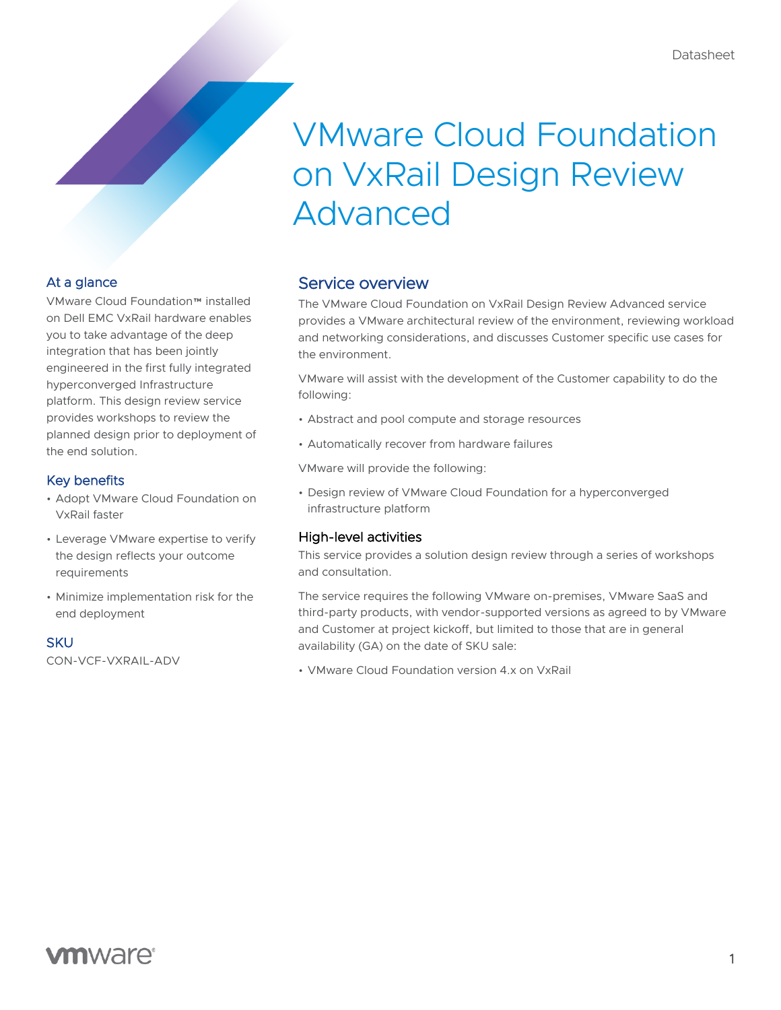# VMware Cloud Foundation on VxRail Design Review Advanced

### At a glance

VMware Cloud Foundation™ installed on Dell EMC VxRail hardware enables you to take advantage of the deep integration that has been jointly engineered in the first fully integrated hyperconverged Infrastructure platform. This design review service provides workshops to review the planned design prior to deployment of the end solution.

### Key benefits

- Adopt VMware Cloud Foundation on VxRail faster
- Leverage VMware expertise to verify the design reflects your outcome requirements
- Minimize implementation risk for the end deployment

#### **SKU**

CON-VCF-VXRAIL-ADV

# Service overview

The VMware Cloud Foundation on VxRail Design Review Advanced service provides a VMware architectural review of the environment, reviewing workload and networking considerations, and discusses Customer specific use cases for the environment.

VMware will assist with the development of the Customer capability to do the following:

- Abstract and pool compute and storage resources
- Automatically recover from hardware failures

VMware will provide the following:

• Design review of VMware Cloud Foundation for a hyperconverged infrastructure platform

### High-level activities

This service provides a solution design review through a series of workshops and consultation.

The service requires the following VMware on-premises, VMware SaaS and third-party products, with vendor-supported versions as agreed to by VMware and Customer at project kickoff, but limited to those that are in general availability (GA) on the date of SKU sale:

• VMware Cloud Foundation version 4.x on VxRail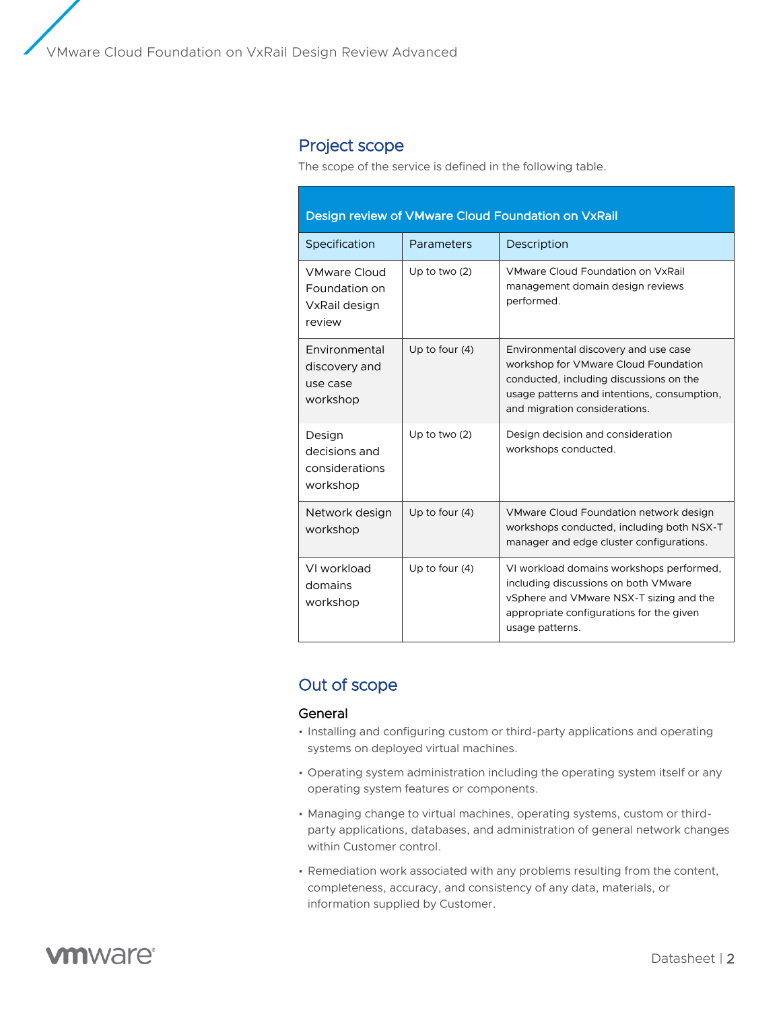# Project scope

The scope of the service is defined in the following table.

| Design review of VMware Cloud Foundation on VxRail              |                  |                                                                                                                                                                                                         |
|-----------------------------------------------------------------|------------------|---------------------------------------------------------------------------------------------------------------------------------------------------------------------------------------------------------|
| Specification                                                   | Parameters       | Description                                                                                                                                                                                             |
| <b>VMware Cloud</b><br>Foundation on<br>VxRail design<br>review | Up to two $(2)$  | VMware Cloud Foundation on VxRail<br>management domain design reviews<br>performed.                                                                                                                     |
| Environmental<br>discovery and<br>use case<br>workshop          | Up to four $(4)$ | Environmental discovery and use case<br>workshop for VMware Cloud Foundation<br>conducted, including discussions on the<br>usage patterns and intentions, consumption,<br>and migration considerations. |
| Design<br>decisions and<br>considerations<br>workshop           | Up to two $(2)$  | Design decision and consideration<br>workshops conducted.                                                                                                                                               |
| Network design<br>workshop                                      | Up to four $(4)$ | VMware Cloud Foundation network design<br>workshops conducted, including both NSX-T<br>manager and edge cluster configurations.                                                                         |
| VI workload<br>domains<br>workshop                              | Up to four $(4)$ | VI workload domains workshops performed,<br>including discussions on both VMware<br>vSphere and VMware NSX-T sizing and the<br>appropriate configurations for the given<br>usage patterns.              |

# Out of scope

#### General

- Installing and configuring custom or third-party applications and operating systems on deployed virtual machines.
- Operating system administration including the operating system itself or any operating system features or components.
- Managing change to virtual machines, operating systems, custom or thirdparty applications, databases, and administration of general network changes within Customer control.
- Remediation work associated with any problems resulting from the content, completeness, accuracy, and consistency of any data, materials, or information supplied by Customer.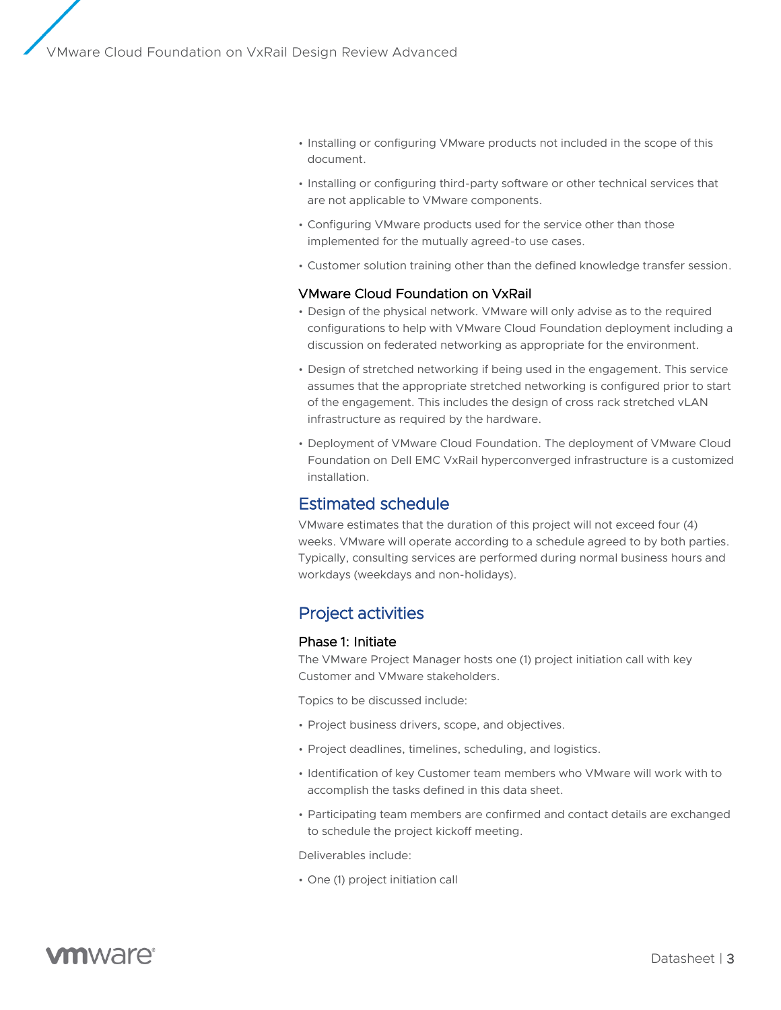- Installing or configuring VMware products not included in the scope of this document.
- Installing or configuring third-party software or other technical services that are not applicable to VMware components.
- Configuring VMware products used for the service other than those implemented for the mutually agreed-to use cases.
- Customer solution training other than the defined knowledge transfer session.

#### VMware Cloud Foundation on VxRail

- Design of the physical network. VMware will only advise as to the required configurations to help with VMware Cloud Foundation deployment including a discussion on federated networking as appropriate for the environment.
- Design of stretched networking if being used in the engagement. This service assumes that the appropriate stretched networking is configured prior to start of the engagement. This includes the design of cross rack stretched vLAN infrastructure as required by the hardware.
- Deployment of VMware Cloud Foundation. The deployment of VMware Cloud Foundation on Dell EMC VxRail hyperconverged infrastructure is a customized installation.

### Estimated schedule

VMware estimates that the duration of this project will not exceed four (4) weeks. VMware will operate according to a schedule agreed to by both parties. Typically, consulting services are performed during normal business hours and workdays (weekdays and non-holidays).

# Project activities

#### Phase 1: Initiate

The VMware Project Manager hosts one (1) project initiation call with key Customer and VMware stakeholders.

Topics to be discussed include:

- Project business drivers, scope, and objectives.
- Project deadlines, timelines, scheduling, and logistics.
- Identification of key Customer team members who VMware will work with to accomplish the tasks defined in this data sheet.
- Participating team members are confirmed and contact details are exchanged to schedule the project kickoff meeting.

Deliverables include:

• One (1) project initiation call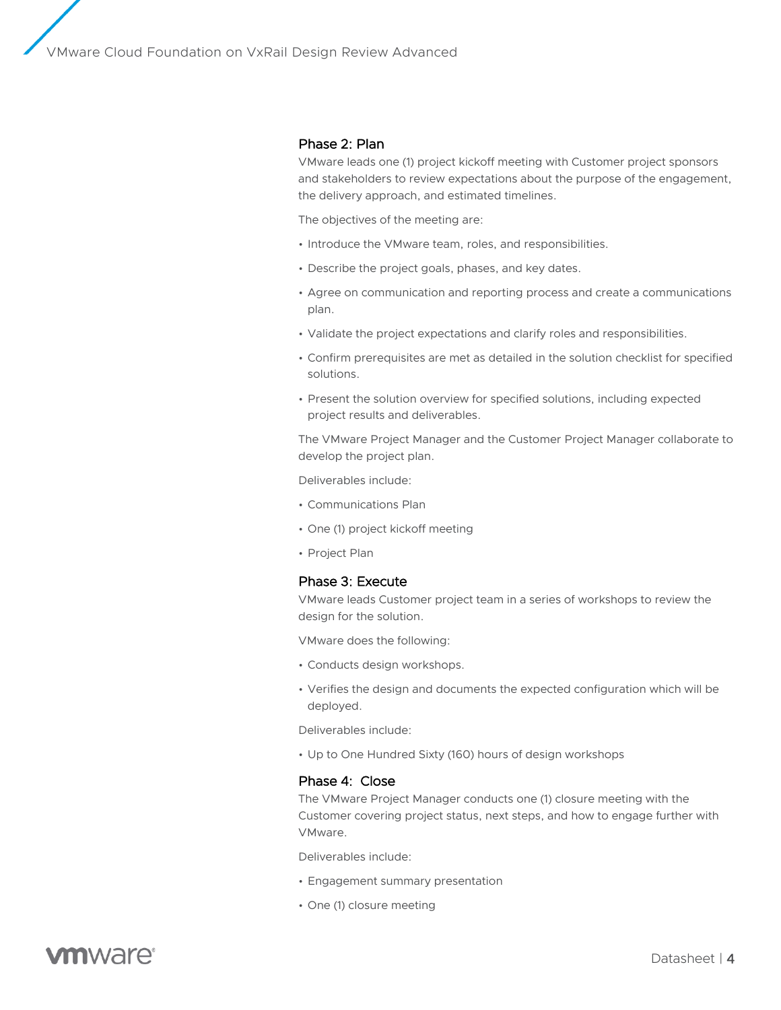#### Phase 2: Plan

VMware leads one (1) project kickoff meeting with Customer project sponsors and stakeholders to review expectations about the purpose of the engagement, the delivery approach, and estimated timelines.

The objectives of the meeting are:

- Introduce the VMware team, roles, and responsibilities.
- Describe the project goals, phases, and key dates.
- Agree on communication and reporting process and create a communications plan.
- Validate the project expectations and clarify roles and responsibilities.
- Confirm prerequisites are met as detailed in the solution checklist for specified solutions.
- Present the solution overview for specified solutions, including expected project results and deliverables.

The VMware Project Manager and the Customer Project Manager collaborate to develop the project plan.

Deliverables include:

- Communications Plan
- One (1) project kickoff meeting
- Project Plan

#### Phase 3: Execute

VMware leads Customer project team in a series of workshops to review the design for the solution.

VMware does the following:

- Conducts design workshops.
- Verifies the design and documents the expected configuration which will be deployed.

Deliverables include:

• Up to One Hundred Sixty (160) hours of design workshops

#### Phase 4: Close

The VMware Project Manager conducts one (1) closure meeting with the Customer covering project status, next steps, and how to engage further with VMware.

Deliverables include:

- Engagement summary presentation
- One (1) closure meeting